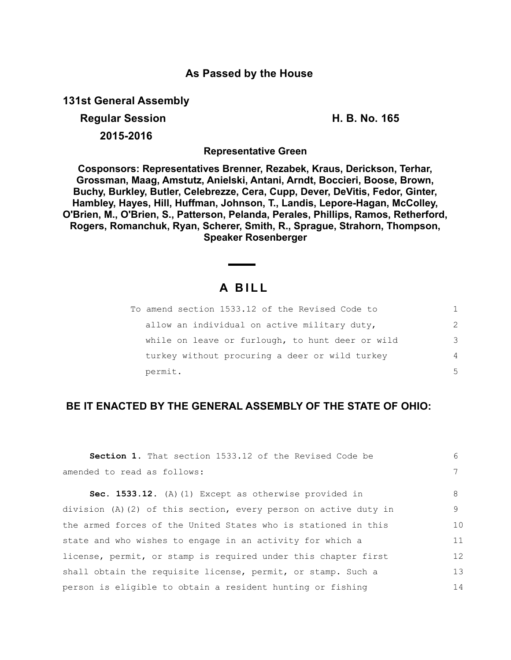## **As Passed by the House**

**131st General Assembly**

**Regular Session H. B. No. 165** 

**2015-2016**

**Representative Green**

**Cosponsors: Representatives Brenner, Rezabek, Kraus, Derickson, Terhar, Grossman, Maag, Amstutz, Anielski, Antani, Arndt, Boccieri, Boose, Brown, Buchy, Burkley, Butler, Celebrezze, Cera, Cupp, Dever, DeVitis, Fedor, Ginter, Hambley, Hayes, Hill, Huffman, Johnson, T., Landis, Lepore-Hagan, McColley, O'Brien, M., O'Brien, S., Patterson, Pelanda, Perales, Phillips, Ramos, Retherford, Rogers, Romanchuk, Ryan, Scherer, Smith, R., Sprague, Strahorn, Thompson, Speaker Rosenberger**

# **A B I L L**

| To amend section 1533.12 of the Revised Code to  |               |
|--------------------------------------------------|---------------|
| allow an individual on active military duty,     | $\mathcal{P}$ |
| while on leave or furlough, to hunt deer or wild | 3             |
| turkey without procuring a deer or wild turkey   | 4             |
| permit.                                          | 5             |

### **BE IT ENACTED BY THE GENERAL ASSEMBLY OF THE STATE OF OHIO:**

| <b>Section 1.</b> That section 1533.12 of the Revised Code be        | 6           |
|----------------------------------------------------------------------|-------------|
| amended to read as follows:                                          | $7^{\circ}$ |
| Sec. 1533.12. (A) (1) Except as otherwise provided in                | 8           |
| division $(A)$ $(2)$ of this section, every person on active duty in | 9           |
| the armed forces of the United States who is stationed in this       | 10          |
| state and who wishes to engage in an activity for which a            | 11          |
| license, permit, or stamp is required under this chapter first       | 12          |
| shall obtain the requisite license, permit, or stamp. Such a         | 13          |
| person is eligible to obtain a resident hunting or fishing           | 14          |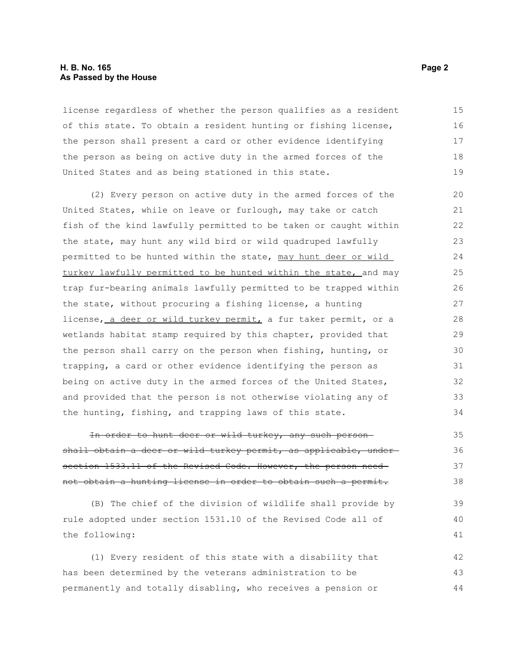### **H. B. No. 165 Page 2 As Passed by the House**

license regardless of whether the person qualifies as a resident of this state. To obtain a resident hunting or fishing license, the person shall present a card or other evidence identifying the person as being on active duty in the armed forces of the United States and as being stationed in this state. 15 16 17 18 19

(2) Every person on active duty in the armed forces of the United States, while on leave or furlough, may take or catch fish of the kind lawfully permitted to be taken or caught within the state, may hunt any wild bird or wild quadruped lawfully permitted to be hunted within the state, may hunt deer or wild turkey lawfully permitted to be hunted within the state, and may trap fur-bearing animals lawfully permitted to be trapped within the state, without procuring a fishing license, a hunting license, a deer or wild turkey permit, a fur taker permit, or a wetlands habitat stamp required by this chapter, provided that the person shall carry on the person when fishing, hunting, or trapping, a card or other evidence identifying the person as being on active duty in the armed forces of the United States, and provided that the person is not otherwise violating any of the hunting, fishing, and trapping laws of this state. 20 21 22 23 24 25 26 27 28 29 30 31 32 33 34

In order to hunt deer or wild turkey, any such person shall obtain a deer or wild turkey permit, as applicable, undersection 1533.11 of the Revised Code. However, the person neednot obtain a hunting license in order to obtain such a permit. 35 36 37 38

(B) The chief of the division of wildlife shall provide by rule adopted under section 1531.10 of the Revised Code all of the following: 39 40 41

(1) Every resident of this state with a disability that has been determined by the veterans administration to be permanently and totally disabling, who receives a pension or 42 43 44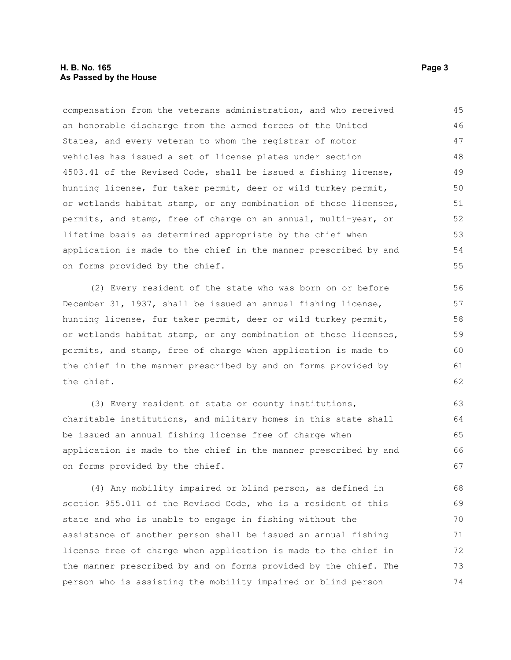### **H. B. No. 165 Page 3 As Passed by the House**

compensation from the veterans administration, and who received an honorable discharge from the armed forces of the United States, and every veteran to whom the registrar of motor vehicles has issued a set of license plates under section 4503.41 of the Revised Code, shall be issued a fishing license, hunting license, fur taker permit, deer or wild turkey permit, or wetlands habitat stamp, or any combination of those licenses, permits, and stamp, free of charge on an annual, multi-year, or lifetime basis as determined appropriate by the chief when application is made to the chief in the manner prescribed by and on forms provided by the chief. 45 46 47 48 49 50 51 52 53 54 55

(2) Every resident of the state who was born on or before December 31, 1937, shall be issued an annual fishing license, hunting license, fur taker permit, deer or wild turkey permit, or wetlands habitat stamp, or any combination of those licenses, permits, and stamp, free of charge when application is made to the chief in the manner prescribed by and on forms provided by the chief.

(3) Every resident of state or county institutions, charitable institutions, and military homes in this state shall be issued an annual fishing license free of charge when application is made to the chief in the manner prescribed by and on forms provided by the chief.

(4) Any mobility impaired or blind person, as defined in section 955.011 of the Revised Code, who is a resident of this state and who is unable to engage in fishing without the assistance of another person shall be issued an annual fishing license free of charge when application is made to the chief in the manner prescribed by and on forms provided by the chief. The person who is assisting the mobility impaired or blind person 68 69 70 71 72 73 74